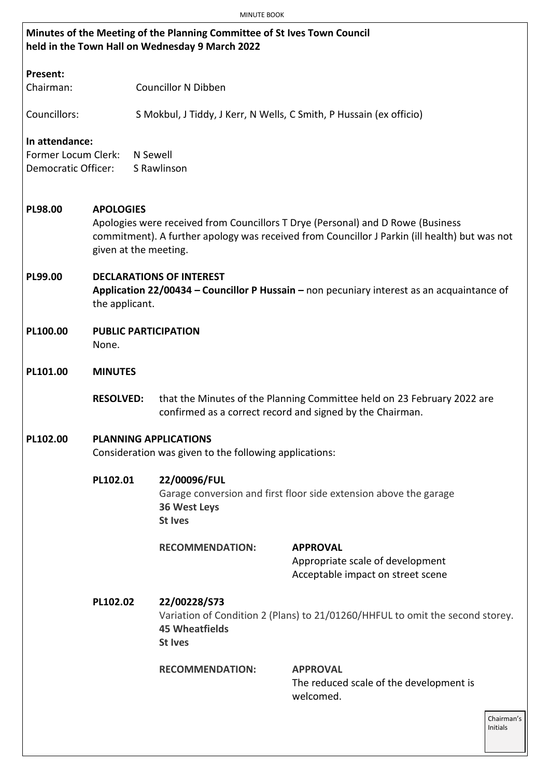|                     | <b>MINUTE BOOK</b>                                                                                                                                                                                                            |                                                                                                                             |                                                                                                                                      |  |  |
|---------------------|-------------------------------------------------------------------------------------------------------------------------------------------------------------------------------------------------------------------------------|-----------------------------------------------------------------------------------------------------------------------------|--------------------------------------------------------------------------------------------------------------------------------------|--|--|
|                     |                                                                                                                                                                                                                               | Minutes of the Meeting of the Planning Committee of St Ives Town Council<br>held in the Town Hall on Wednesday 9 March 2022 |                                                                                                                                      |  |  |
| Present:            |                                                                                                                                                                                                                               |                                                                                                                             |                                                                                                                                      |  |  |
| Chairman:           |                                                                                                                                                                                                                               | <b>Councillor N Dibben</b>                                                                                                  |                                                                                                                                      |  |  |
| Councillors:        |                                                                                                                                                                                                                               |                                                                                                                             | S Mokbul, J Tiddy, J Kerr, N Wells, C Smith, P Hussain (ex officio)                                                                  |  |  |
| In attendance:      |                                                                                                                                                                                                                               |                                                                                                                             |                                                                                                                                      |  |  |
| Former Locum Clerk: |                                                                                                                                                                                                                               | N Sewell                                                                                                                    |                                                                                                                                      |  |  |
| Democratic Officer: |                                                                                                                                                                                                                               | S Rawlinson                                                                                                                 |                                                                                                                                      |  |  |
| PL98.00             | <b>APOLOGIES</b><br>Apologies were received from Councillors T Drye (Personal) and D Rowe (Business<br>commitment). A further apology was received from Councillor J Parkin (ill health) but was not<br>given at the meeting. |                                                                                                                             |                                                                                                                                      |  |  |
| PL99.00             | <b>DECLARATIONS OF INTEREST</b><br>Application 22/00434 – Councillor P Hussain – non pecuniary interest as an acquaintance of<br>the applicant.                                                                               |                                                                                                                             |                                                                                                                                      |  |  |
| PL100.00            | <b>PUBLIC PARTICIPATION</b><br>None.                                                                                                                                                                                          |                                                                                                                             |                                                                                                                                      |  |  |
| PL101.00            | <b>MINUTES</b>                                                                                                                                                                                                                |                                                                                                                             |                                                                                                                                      |  |  |
|                     | <b>RESOLVED:</b>                                                                                                                                                                                                              |                                                                                                                             | that the Minutes of the Planning Committee held on 23 February 2022 are<br>confirmed as a correct record and signed by the Chairman. |  |  |
| PL102.00            | <b>PLANNING APPLICATIONS</b><br>Consideration was given to the following applications:                                                                                                                                        |                                                                                                                             |                                                                                                                                      |  |  |
|                     | PL102.01<br>22/00096/FUL<br>Garage conversion and first floor side extension above the garage<br><b>36 West Leys</b><br><b>St Ives</b>                                                                                        |                                                                                                                             |                                                                                                                                      |  |  |
|                     |                                                                                                                                                                                                                               | <b>RECOMMENDATION:</b>                                                                                                      | <b>APPROVAL</b><br>Appropriate scale of development<br>Acceptable impact on street scene                                             |  |  |
|                     | 22/00228/S73<br>PL102.02<br>Variation of Condition 2 (Plans) to 21/01260/HHFUL to omit the second storey.<br><b>45 Wheatfields</b><br><b>St Ives</b>                                                                          |                                                                                                                             |                                                                                                                                      |  |  |
|                     |                                                                                                                                                                                                                               | <b>RECOMMENDATION:</b>                                                                                                      | <b>APPROVAL</b><br>The reduced scale of the development is<br>welcomed.                                                              |  |  |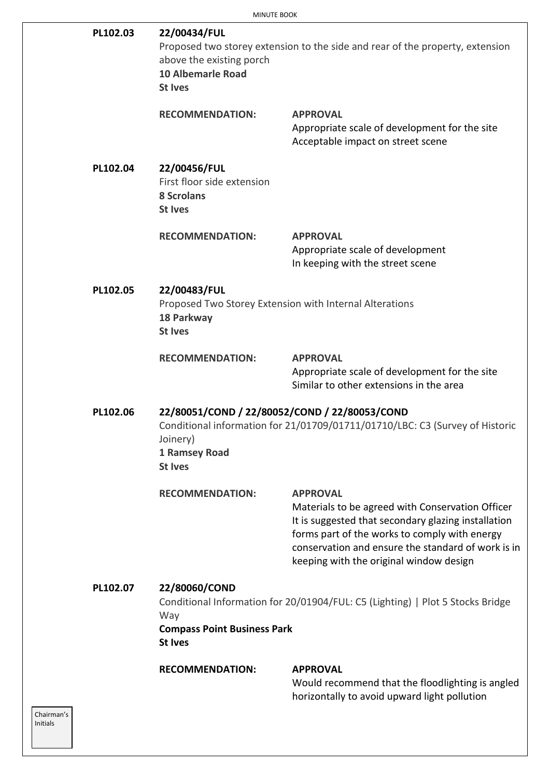| PL102.03 | 22/00434/FUL<br>Proposed two storey extension to the side and rear of the property, extension<br>above the existing porch<br><b>10 Albemarle Road</b><br><b>St Ives</b>      |                                                                                                                                                                                                                                                                              |  |
|----------|------------------------------------------------------------------------------------------------------------------------------------------------------------------------------|------------------------------------------------------------------------------------------------------------------------------------------------------------------------------------------------------------------------------------------------------------------------------|--|
|          | <b>RECOMMENDATION:</b>                                                                                                                                                       | <b>APPROVAL</b><br>Appropriate scale of development for the site<br>Acceptable impact on street scene                                                                                                                                                                        |  |
| PL102.04 | 22/00456/FUL<br>First floor side extension<br><b>8 Scrolans</b><br><b>St Ives</b>                                                                                            |                                                                                                                                                                                                                                                                              |  |
|          | <b>RECOMMENDATION:</b>                                                                                                                                                       | <b>APPROVAL</b><br>Appropriate scale of development<br>In keeping with the street scene                                                                                                                                                                                      |  |
| PL102.05 | 22/00483/FUL<br>Proposed Two Storey Extension with Internal Alterations<br>18 Parkway<br><b>St Ives</b>                                                                      |                                                                                                                                                                                                                                                                              |  |
|          | <b>RECOMMENDATION:</b>                                                                                                                                                       | <b>APPROVAL</b><br>Appropriate scale of development for the site<br>Similar to other extensions in the area                                                                                                                                                                  |  |
| PL102.06 | 22/80051/COND / 22/80052/COND / 22/80053/COND<br>Conditional information for 21/01709/01711/01710/LBC: C3 (Survey of Historic<br>Joinery)<br>1 Ramsey Road<br><b>St Ives</b> |                                                                                                                                                                                                                                                                              |  |
|          | <b>RECOMMENDATION:</b>                                                                                                                                                       | <b>APPROVAL</b><br>Materials to be agreed with Conservation Officer<br>It is suggested that secondary glazing installation<br>forms part of the works to comply with energy<br>conservation and ensure the standard of work is in<br>keeping with the original window design |  |
| PL102.07 | 22/80060/COND<br>Conditional Information for 20/01904/FUL: C5 (Lighting)   Plot 5 Stocks Bridge<br>Way<br><b>Compass Point Business Park</b><br><b>St Ives</b>               |                                                                                                                                                                                                                                                                              |  |
|          | <b>RECOMMENDATION:</b>                                                                                                                                                       | <b>APPROVAL</b><br>Would recommend that the floodlighting is angled<br>horizontally to avoid upward light pollution                                                                                                                                                          |  |

Chairman's Initials